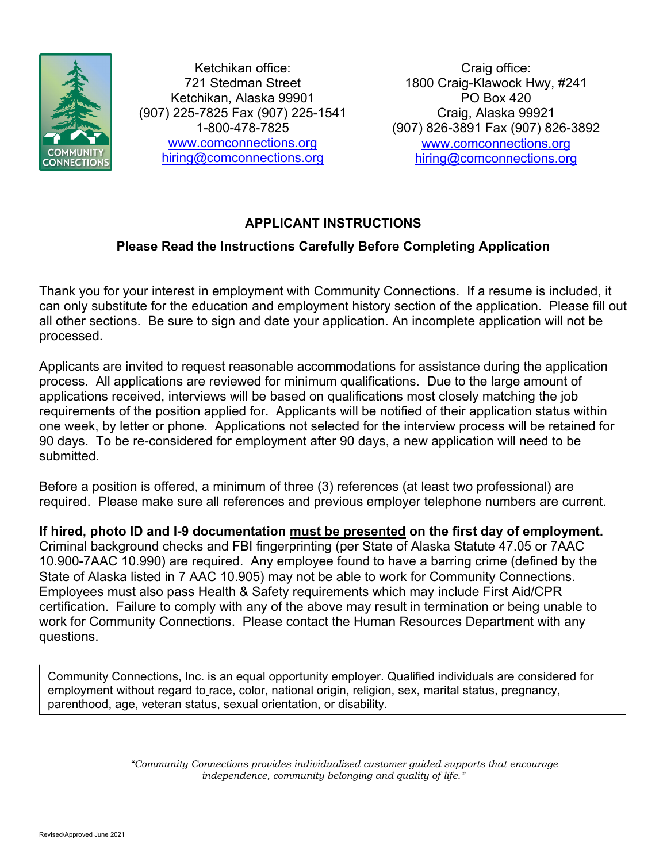

Ketchikan office: 721 Stedman Street Ketchikan, Alaska 99901 (907) 225-7825 Fax (907) 225-1541 1-800-478-7825 www.comconnections.org hiring@comconnections.org

Craig office: 1800 Craig-Klawock Hwy, #241 PO Box 420 Craig, Alaska 99921 (907) 826-3891 Fax (907) 826-3892 www.comconnections.org hiring@comconnections.org

# **APPLICANT INSTRUCTIONS**

# **Please Read the Instructions Carefully Before Completing Application**

Thank you for your interest in employment with Community Connections. If a resume is included, it can only substitute for the education and employment history section of the application. Please fill out all other sections. Be sure to sign and date your application. An incomplete application will not be processed.

Applicants are invited to request reasonable accommodations for assistance during the application process. All applications are reviewed for minimum qualifications. Due to the large amount of applications received, interviews will be based on qualifications most closely matching the job requirements of the position applied for. Applicants will be notified of their application status within one week, by letter or phone. Applications not selected for the interview process will be retained for 90 days. To be re-considered for employment after 90 days, a new application will need to be submitted.

Before a position is offered, a minimum of three (3) references (at least two professional) are required. Please make sure all references and previous employer telephone numbers are current.

**If hired, photo ID and I-9 documentation must be presented on the first day of employment.** Criminal background checks and FBI fingerprinting (per State of Alaska Statute 47.05 or 7AAC 10.900-7AAC 10.990) are required. Any employee found to have a barring crime (defined by the State of Alaska listed in 7 AAC 10.905) may not be able to work for Community Connections. Employees must also pass Health & Safety requirements which may include First Aid/CPR certification. Failure to comply with any of the above may result in termination or being unable to work for Community Connections. Please contact the Human Resources Department with any questions.

Community Connections, Inc. is an equal opportunity employer. Qualified individuals are considered for employment without regard to race, color, national origin, religion, sex, marital status, pregnancy, parenthood, age, veteran status, sexual orientation, or disability.

> *"Community Connections provides individualized customer guided supports that encourage independence, community belonging and quality of life."*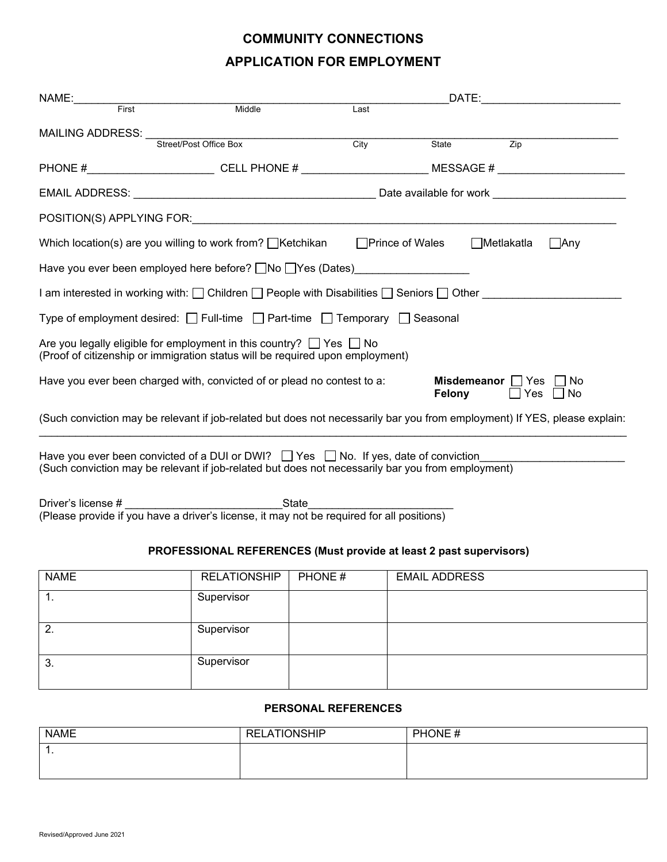# **COMMUNITY CONNECTIONS APPLICATION FOR EMPLOYMENT**

| First                                                                                                             | Middle                                                                                                                                                                                                                        | Last    |                      |                           |                      |
|-------------------------------------------------------------------------------------------------------------------|-------------------------------------------------------------------------------------------------------------------------------------------------------------------------------------------------------------------------------|---------|----------------------|---------------------------|----------------------|
| <b>MAILING ADDRESS:</b>                                                                                           | Street/Post Office Box                                                                                                                                                                                                        | Citv    |                      | $\overline{Zip}$<br>State |                      |
|                                                                                                                   |                                                                                                                                                                                                                               |         |                      |                           |                      |
|                                                                                                                   | PHONE #______________________________CELL PHONE # _______________________________ MESSAGE # __________________                                                                                                                |         |                      |                           |                      |
|                                                                                                                   |                                                                                                                                                                                                                               |         |                      |                           |                      |
|                                                                                                                   | POSITION(S) APPLYING FOR: the contract of the contract of the contract of the contract of the contract of the contract of the contract of the contract of the contract of the contract of the contract of the contract of the |         |                      |                           |                      |
| Which location(s) are you willing to work from? □Ketchikan<br>□Prince of Wales<br>$\Box$ Metlakatla<br>$\Box$ Any |                                                                                                                                                                                                                               |         |                      |                           |                      |
|                                                                                                                   | Have you ever been employed here before? □No □Yes (Dates)                                                                                                                                                                     |         |                      |                           |                      |
|                                                                                                                   | I am interested in working with: □ Children □ People with Disabilities □ Seniors □ Other                                                                                                                                      |         |                      |                           |                      |
|                                                                                                                   | Type of employment desired: $\Box$ Full-time $\Box$ Part-time $\Box$ Temporary $\Box$ Seasonal                                                                                                                                |         |                      |                           |                      |
|                                                                                                                   | Are you legally eligible for employment in this country? $\Box$ Yes $\Box$ No<br>(Proof of citizenship or immigration status will be required upon employment)                                                                |         |                      |                           |                      |
|                                                                                                                   | Have you ever been charged with, convicted of or plead no contest to a:                                                                                                                                                       |         | Felony               | Misdemeanor Yes No        | $\Box$ Yes $\Box$ No |
|                                                                                                                   | (Such conviction may be relevant if job-related but does not necessarily bar you from employment) If YES, please explain:                                                                                                     |         |                      |                           |                      |
|                                                                                                                   | Have you ever been convicted of a DUI or DWI? $\Box$ Yes $\Box$ No. If yes, date of conviction<br>(Such conviction may be relevant if job-related but does not necessarily bar you from employment)                           |         |                      |                           |                      |
| Driver's license #<br>(Please provide if you have a driver's license, it may not be required for all positions)   |                                                                                                                                                                                                                               |         |                      |                           |                      |
|                                                                                                                   |                                                                                                                                                                                                                               |         |                      |                           |                      |
|                                                                                                                   | PROFESSIONAL REFERENCES (Must provide at least 2 past supervisors)                                                                                                                                                            |         |                      |                           |                      |
| <b>NAME</b>                                                                                                       | <b>RELATIONSHIP</b>                                                                                                                                                                                                           | PHONE # | <b>EMAIL ADDRESS</b> |                           |                      |
| $1_{-}$                                                                                                           | Supervisor                                                                                                                                                                                                                    |         |                      |                           |                      |
| 2.                                                                                                                | Supervisor                                                                                                                                                                                                                    |         |                      |                           |                      |
|                                                                                                                   |                                                                                                                                                                                                                               |         |                      |                           |                      |

#### **PERSONAL REFERENCES**

| <b>NAME</b> | <b>LATIONSHIP</b><br>REL | PHONE# |
|-------------|--------------------------|--------|
| . .         |                          |        |
|             |                          |        |

3. Supervisor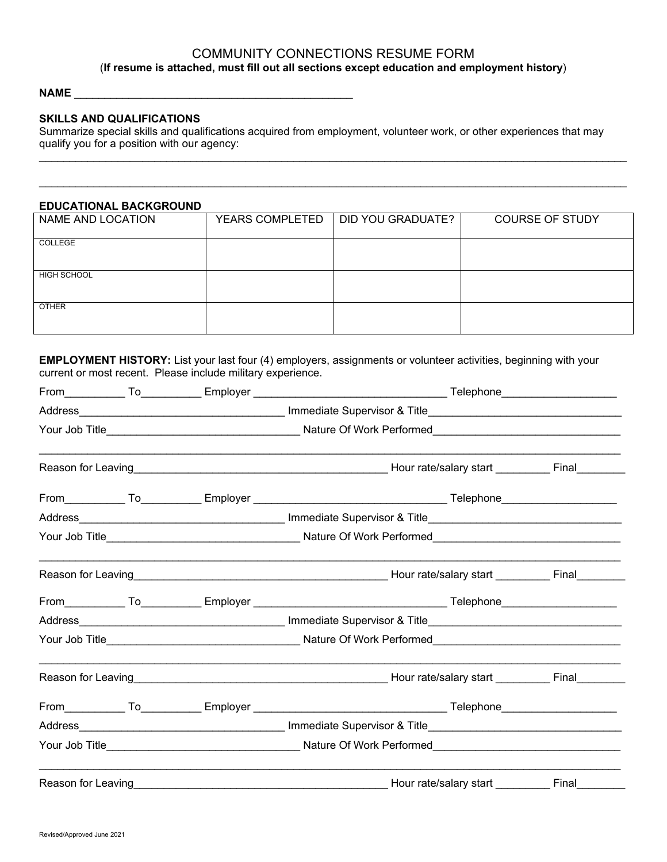# COMMUNITY CONNECTIONS RESUME FORM (**If resume is attached, must fill out all sections except education and employment history**)

#### **NAME** \_\_\_\_\_\_\_\_\_\_\_\_\_\_\_\_\_\_\_\_\_\_\_\_\_\_\_\_\_\_\_\_\_\_\_\_\_\_\_\_\_\_\_\_\_\_

#### **SKILLS AND QUALIFICATIONS**

Summarize special skills and qualifications acquired from employment, volunteer work, or other experiences that may qualify you for a position with our agency:

\_\_\_\_\_\_\_\_\_\_\_\_\_\_\_\_\_\_\_\_\_\_\_\_\_\_\_\_\_\_\_\_\_\_\_\_\_\_\_\_\_\_\_\_\_\_\_\_\_\_\_\_\_\_\_\_\_\_\_\_\_\_\_\_\_\_\_\_\_\_\_\_\_\_\_\_\_\_\_\_\_\_\_\_\_\_\_\_\_\_\_\_\_\_\_\_\_

### **EDUCATIONAL BACKGROUND**

| =========================== |                        |                   |                        |
|-----------------------------|------------------------|-------------------|------------------------|
| NAME AND LOCATION           | <b>YEARS COMPLETED</b> | DID YOU GRADUATE? | <b>COURSE OF STUDY</b> |
| COLLEGE                     |                        |                   |                        |
| HIGH SCHOOL                 |                        |                   |                        |
| <b>OTHER</b>                |                        |                   |                        |

**EMPLOYMENT HISTORY:** List your last four (4) employers, assignments or volunteer activities, beginning with your current or most recent. Please include military experience.